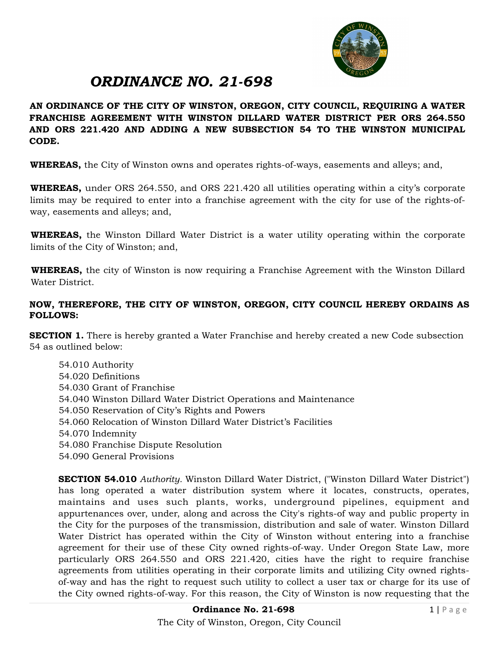

# *ORDINANCE NO. 21-698*

**AN ORDINANCE OF THE CITY OF WINSTON, OREGON, CITY COUNCIL, REQUIRING A WATER FRANCHISE AGREEMENT WITH WINSTON DILLARD WATER DISTRICT PER ORS 264.550 AND ORS 221.420 AND ADDING A NEW SUBSECTION 54 TO THE WINSTON MUNICIPAL CODE.** 

**WHEREAS,** the City of Winston owns and operates rights-of-ways, easements and alleys; and,

**WHEREAS,** under ORS 264.550, and ORS 221.420 all utilities operating within a city's corporate limits may be required to enter into a franchise agreement with the city for use of the rights-ofway, easements and alleys; and,

**WHEREAS,** the Winston Dillard Water District is a water utility operating within the corporate limits of the City of Winston; and,

**WHEREAS,** the city of Winston is now requiring a Franchise Agreement with the Winston Dillard Water District.

#### **NOW, THEREFORE, THE CITY OF WINSTON, OREGON, CITY COUNCIL HEREBY ORDAINS AS FOLLOWS:**

**SECTION 1.** There is hereby granted a Water Franchise and hereby created a new Code subsection 54 as outlined below:

 54.010 Authority 54.020 Definitions 54.030 Grant of Franchise 54.040 Winston Dillard Water District Operations and Maintenance 54.050 Reservation of City's Rights and Powers 54.060 Relocation of Winston Dillard Water District's Facilities 54.070 Indemnity 54.080 Franchise Dispute Resolution 54.090 General Provisions

**SECTION 54.010** *Authority.* Winston Dillard Water District, ("Winston Dillard Water District") has long operated a water distribution system where it locates, constructs, operates, maintains and uses such plants, works, underground pipelines, equipment and appurtenances over, under, along and across the City's rights-of way and public property in the City for the purposes of the transmission, distribution and sale of water. Winston Dillard Water District has operated within the City of Winston without entering into a franchise agreement for their use of these City owned rights-of-way. Under Oregon State Law, more particularly ORS 264.550 and ORS 221.420, cities have the right to require franchise agreements from utilities operating in their corporate limits and utilizing City owned rightsof-way and has the right to request such utility to collect a user tax or charge for its use of the City owned rights-of-way. For this reason, the City of Winston is now requesting that the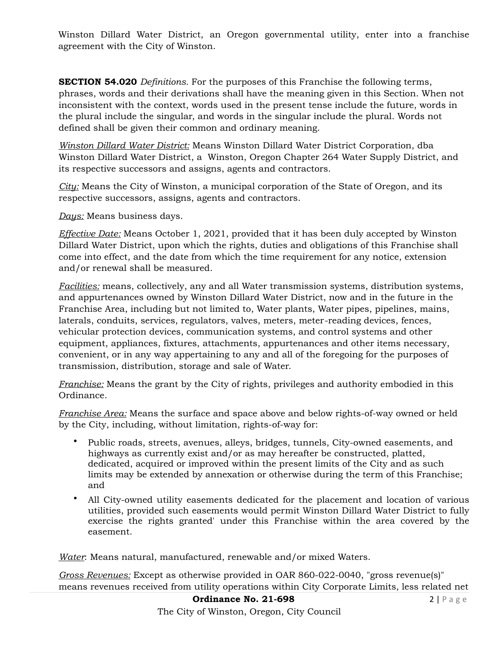Winston Dillard Water District, an Oregon governmental utility, enter into a franchise agreement with the City of Winston.

**SECTION 54.020** *Definitions.* For the purposes of this Franchise the following terms, phrases, words and their derivations shall have the meaning given in this Section. When not inconsistent with the context, words used in the present tense include the future, words in the plural include the singular, and words in the singular include the plural. Words not defined shall be given their common and ordinary meaning.

*Winston Dillard Water District:* Means Winston Dillard Water District Corporation, dba Winston Dillard Water District, a Winston, Oregon Chapter 264 Water Supply District, and its respective successors and assigns, agents and contractors.

*City:* Means the City of Winston, a municipal corporation of the State of Oregon, and its respective successors, assigns, agents and contractors.

*Days:* Means business days.

*Effective Date:* Means October 1, 2021, provided that it has been duly accepted by Winston Dillard Water District, upon which the rights, duties and obligations of this Franchise shall come into effect, and the date from which the time requirement for any notice, extension and/or renewal shall be measured.

*Facilities:* means, collectively, any and all Water transmission systems, distribution systems, and appurtenances owned by Winston Dillard Water District, now and in the future in the Franchise Area, including but not limited to, Water plants, Water pipes, pipelines, mains, laterals, conduits, services, regulators, valves, meters, meter-reading devices, fences, vehicular protection devices, communication systems, and control systems and other equipment, appliances, fixtures, attachments, appurtenances and other items necessary, convenient, or in any way appertaining to any and all of the foregoing for the purposes of transmission, distribution, storage and sale of Water.

*Franchise:* Means the grant by the City of rights, privileges and authority embodied in this Ordinance.

*Franchise Area:* Means the surface and space above and below rights-of-way owned or held by the City, including, without limitation, rights-of-way for:

- Public roads, streets, avenues, alleys, bridges, tunnels, City-owned easements, and highways as currently exist and/or as may hereafter be constructed, platted, dedicated, acquired or improved within the present limits of the City and as such limits may be extended by annexation or otherwise during the term of this Franchise; and
- All City-owned utility easements dedicated for the placement and location of various utilities, provided such easements would permit Winston Dillard Water District to fully exercise the rights granted' under this Franchise within the area covered by the easement.

*Water*: Means natural, manufactured, renewable and/or mixed Waters.

*Gross Revenues:* Except as otherwise provided in OAR 860-022-0040, "gross revenue(s)" means revenues received from utility operations within City Corporate Limits, less related net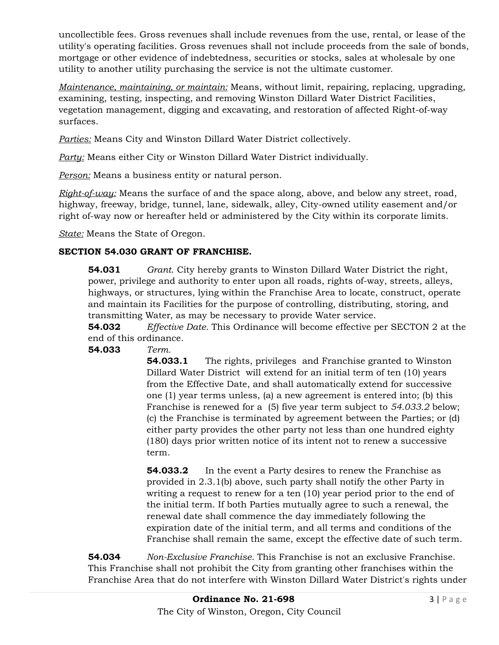uncollectible fees. Gross revenues shall include revenues from the use, rental, or lease of the utility's operating facilities. Gross revenues shall not include proceeds from the sale of bonds, mortgage or other evidence of indebtedness, securities or stocks, sales at wholesale by one utility to another utility purchasing the service is not the ultimate customer.

*Maintenance, maintaining, or maintain:* Means, without limit, repairing, replacing, upgrading, examining, testing, inspecting, and removing Winston Dillard Water District Facilities, vegetation management, digging and excavating, and restoration of affected Right-of-way surfaces.

*Parties:* Means City and Winston Dillard Water District collectively.

*Party:* Means either City or Winston Dillard Water District individually.

*Person:* Means a business entity or natural person.

*Right-of-way:* Means the surface of and the space along, above, and below any street, road, highway, freeway, bridge, tunnel, lane, sidewalk, alley, City-owned utility easement and/or right of-way now or hereafter held or administered by the City within its corporate limits.

*State:* Means the State of Oregon.

# **SECTION 54.030 GRANT OF FRANCHISE.**

**54.031** *Grant*. City hereby grants to Winston Dillard Water District the right, power, privilege and authority to enter upon all roads, rights of-way, streets, alleys, highways, or structures, lying within the Franchise Area to locate, construct, operate and maintain its Facilities for the purpose of controlling, distributing, storing, and transmitting Water, as may be necessary to provide Water service.

**54.032** *Effective Date.* This Ordinance will become effective per SECTON 2 at the end of this ordinance.

**54.033** *Term.*

**54.033.1** The rights, privileges and Franchise granted to Winston Dillard Water District will extend for an initial term of ten (10) years from the Effective Date, and shall automatically extend for successive one (1) year terms unless, (a) a new agreement is entered into; (b) this Franchise is renewed for a (5) five year term subject to *54.033.2* below; (c) the Franchise is terminated by agreement between the Parties; or (d) either party provides the other party not less than one hundred eighty (180) days prior written notice of its intent not to renew a successive term.

**54.033.2** In the event a Party desires to renew the Franchise as provided in 2.3.1(b) above, such party shall notify the other Party in writing a request to renew for a ten (10) year period prior to the end of the initial term. If both Parties mutually agree to such a renewal, the renewal date shall commence the day immediately following the expiration date of the initial term, and all terms and conditions of the Franchise shall remain the same, except the effective date of such term.

**54.034** *Non-Exclusive Franchise.* This Franchise is not an exclusive Franchise. This Franchise shall not prohibit the City from granting other franchises within the Franchise Area that do not interfere with Winston Dillard Water District's rights under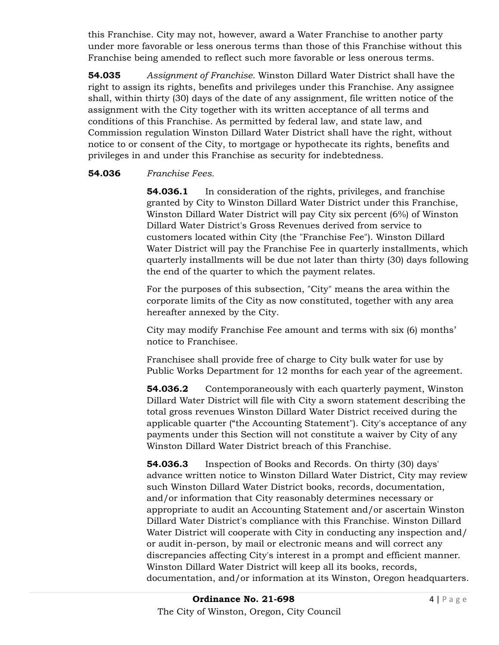this Franchise. City may not, however, award a Water Franchise to another party under more favorable or less onerous terms than those of this Franchise without this Franchise being amended to reflect such more favorable or less onerous terms.

**54.035** *Assignment of Franchise.* Winston Dillard Water District shall have the right to assign its rights, benefits and privileges under this Franchise. Any assignee shall, within thirty (30) days of the date of any assignment, file written notice of the assignment with the City together with its written acceptance of all terms and conditions of this Franchise. As permitted by federal law, and state law, and Commission regulation Winston Dillard Water District shall have the right, without notice to or consent of the City, to mortgage or hypothecate its rights, benefits and privileges in and under this Franchise as security for indebtedness.

#### **54.036** *Franchise Fees.*

**54.036.1** In consideration of the rights, privileges, and franchise granted by City to Winston Dillard Water District under this Franchise, Winston Dillard Water District will pay City six percent (6%) of Winston Dillard Water District's Gross Revenues derived from service to customers located within City (the "Franchise Fee"). Winston Dillard Water District will pay the Franchise Fee in quarterly installments, which quarterly installments will be due not later than thirty (30) days following the end of the quarter to which the payment relates.

For the purposes of this subsection, "City" means the area within the corporate limits of the City as now constituted, together with any area hereafter annexed by the City.

City may modify Franchise Fee amount and terms with six (6) months' notice to Franchisee.

 Franchisee shall provide free of charge to City bulk water for use by Public Works Department for 12 months for each year of the agreement.

**54.036.2** Contemporaneously with each quarterly payment, Winston Dillard Water District will file with City a sworn statement describing the total gross revenues Winston Dillard Water District received during the applicable quarter ("the Accounting Statement"). City's acceptance of any payments under this Section will not constitute a waiver by City of any Winston Dillard Water District breach of this Franchise.

**54.036.3** Inspection of Books and Records. On thirty (30) days' advance written notice to Winston Dillard Water District, City may review such Winston Dillard Water District books, records, documentation, and/or information that City reasonably determines necessary or appropriate to audit an Accounting Statement and/or ascertain Winston Dillard Water District's compliance with this Franchise. Winston Dillard Water District will cooperate with City in conducting any inspection and/ or audit in-person, by mail or electronic means and will correct any discrepancies affecting City's interest in a prompt and efficient manner. Winston Dillard Water District will keep all its books, records, documentation, and/or information at its Winston, Oregon headquarters.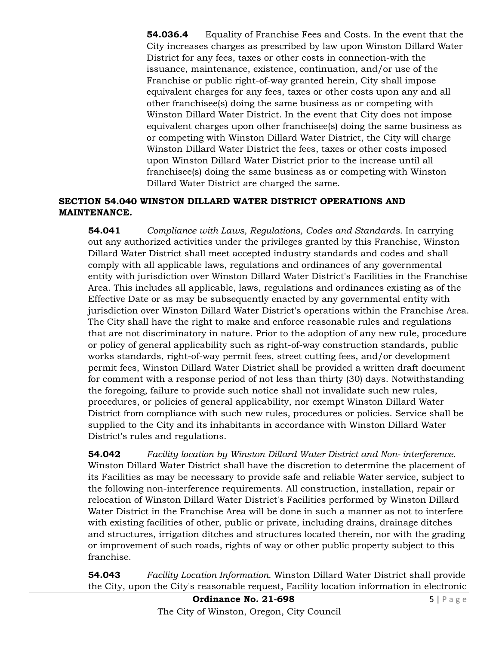**54.036.4** Equality of Franchise Fees and Costs. In the event that the City increases charges as prescribed by law upon Winston Dillard Water District for any fees, taxes or other costs in connection-with the issuance, maintenance, existence, continuation, and/or use of the Franchise or public right-of-way granted herein, City shall impose equivalent charges for any fees, taxes or other costs upon any and all other franchisee(s) doing the same business as or competing with Winston Dillard Water District. In the event that City does not impose equivalent charges upon other franchisee(s) doing the same business as or competing with Winston Dillard Water District, the City will charge Winston Dillard Water District the fees, taxes or other costs imposed upon Winston Dillard Water District prior to the increase until all franchisee(s) doing the same business as or competing with Winston Dillard Water District are charged the same.

## **SECTION 54.040 WINSTON DILLARD WATER DISTRICT OPERATIONS AND MAINTENANCE.**

**54.041** *Compliance with Laws, Regulations, Codes and Standards.* In carrying out any authorized activities under the privileges granted by this Franchise, Winston Dillard Water District shall meet accepted industry standards and codes and shall comply with all applicable laws, regulations and ordinances of any governmental entity with jurisdiction over Winston Dillard Water District's Facilities in the Franchise Area. This includes all applicable, laws, regulations and ordinances existing as of the Effective Date or as may be subsequently enacted by any governmental entity with jurisdiction over Winston Dillard Water District's operations within the Franchise Area. The City shall have the right to make and enforce reasonable rules and regulations that are not discriminatory in nature. Prior to the adoption of any new rule, procedure or policy of general applicability such as right-of-way construction standards, public works standards, right-of-way permit fees, street cutting fees, and/or development permit fees, Winston Dillard Water District shall be provided a written draft document for comment with a response period of not less than thirty (30) days. Notwithstanding the foregoing, failure to provide such notice shall not invalidate such new rules, procedures, or policies of general applicability, nor exempt Winston Dillard Water District from compliance with such new rules, procedures or policies. Service shall be supplied to the City and its inhabitants in accordance with Winston Dillard Water District's rules and regulations.

**54.042** *Facility location by Winston Dillard Water District and Non- interference.* Winston Dillard Water District shall have the discretion to determine the placement of its Facilities as may be necessary to provide safe and reliable Water service, subject to the following non-interference requirements. All construction, installation, repair or relocation of Winston Dillard Water District's Facilities performed by Winston Dillard Water District in the Franchise Area will be done in such a manner as not to interfere with existing facilities of other, public or private, including drains, drainage ditches and structures, irrigation ditches and structures located therein, nor with the grading or improvement of such roads, rights of way or other public property subject to this franchise.

**54.043** *Facility Location Information.* Winston Dillard Water District shall provide the City, upon the City's reasonable request, Facility location information in electronic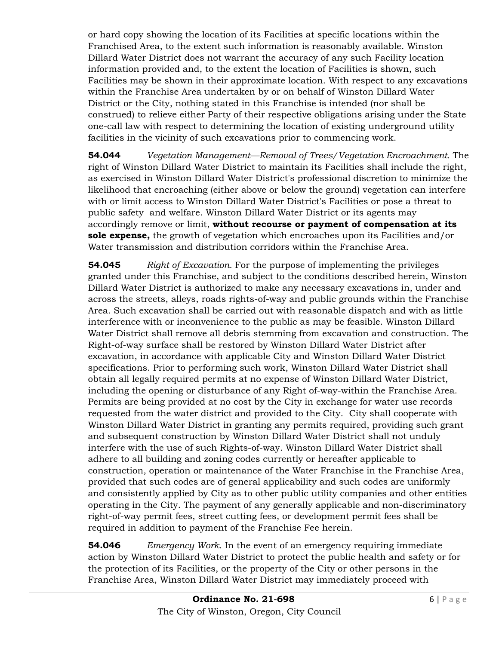or hard copy showing the location of its Facilities at specific locations within the Franchised Area, to the extent such information is reasonably available. Winston Dillard Water District does not warrant the accuracy of any such Facility location information provided and, to the extent the location of Facilities is shown, such Facilities may be shown in their approximate location. With respect to any excavations within the Franchise Area undertaken by or on behalf of Winston Dillard Water District or the City, nothing stated in this Franchise is intended (nor shall be construed) to relieve either Party of their respective obligations arising under the State one-call law with respect to determining the location of existing underground utility facilities in the vicinity of such excavations prior to commencing work.

**54.044** *Vegetation Management—Removal of Trees/Vegetation Encroachment.* The right of Winston Dillard Water District to maintain its Facilities shall include the right, as exercised in Winston Dillard Water District's professional discretion to minimize the likelihood that encroaching (either above or below the ground) vegetation can interfere with or limit access to Winston Dillard Water District's Facilities or pose a threat to public safety and welfare. Winston Dillard Water District or its agents may accordingly remove or limit, **without recourse or payment of compensation at its sole expense,** the growth of vegetation which encroaches upon its Facilities and/or Water transmission and distribution corridors within the Franchise Area.

**54.045** *Right of Excavation.* For the purpose of implementing the privileges granted under this Franchise, and subject to the conditions described herein, Winston Dillard Water District is authorized to make any necessary excavations in, under and across the streets, alleys, roads rights-of-way and public grounds within the Franchise Area. Such excavation shall be carried out with reasonable dispatch and with as little interference with or inconvenience to the public as may be feasible. Winston Dillard Water District shall remove all debris stemming from excavation and construction. The Right-of-way surface shall be restored by Winston Dillard Water District after excavation, in accordance with applicable City and Winston Dillard Water District specifications. Prior to performing such work, Winston Dillard Water District shall obtain all legally required permits at no expense of Winston Dillard Water District, including the opening or disturbance of any Right of-way-within the Franchise Area. Permits are being provided at no cost by the City in exchange for water use records requested from the water district and provided to the City. City shall cooperate with Winston Dillard Water District in granting any permits required, providing such grant and subsequent construction by Winston Dillard Water District shall not unduly interfere with the use of such Rights-of-way. Winston Dillard Water District shall adhere to all building and zoning codes currently or hereafter applicable to construction, operation or maintenance of the Water Franchise in the Franchise Area, provided that such codes are of general applicability and such codes are uniformly and consistently applied by City as to other public utility companies and other entities operating in the City. The payment of any generally applicable and non-discriminatory right-of-way permit fees, street cutting fees, or development permit fees shall be required in addition to payment of the Franchise Fee herein.

**54.046** *Emergency Work.* In the event of an emergency requiring immediate action by Winston Dillard Water District to protect the public health and safety or for the protection of its Facilities, or the property of the City or other persons in the Franchise Area, Winston Dillard Water District may immediately proceed with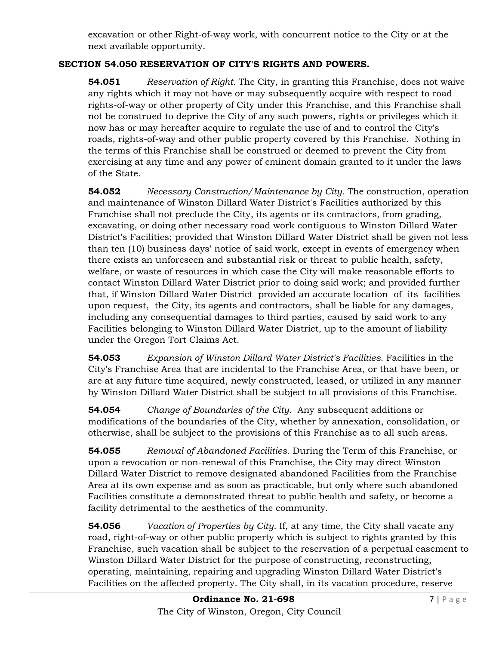excavation or other Right-of-way work, with concurrent notice to the City or at the next available opportunity.

## **SECTION 54.050 RESERVATION OF CITY'S RIGHTS AND POWERS.**

**54.051** *Reservation of Right.* The City, in granting this Franchise, does not waive any rights which it may not have or may subsequently acquire with respect to road rights-of-way or other property of City under this Franchise, and this Franchise shall not be construed to deprive the City of any such powers, rights or privileges which it now has or may hereafter acquire to regulate the use of and to control the City's roads, rights-of-way and other public property covered by this Franchise. Nothing in the terms of this Franchise shall be construed or deemed to prevent the City from exercising at any time and any power of eminent domain granted to it under the laws of the State.

**54.052** *Necessary Construction/Maintenance by City.* The construction, operation and maintenance of Winston Dillard Water District's Facilities authorized by this Franchise shall not preclude the City, its agents or its contractors, from grading, excavating, or doing other necessary road work contiguous to Winston Dillard Water District's Facilities; provided that Winston Dillard Water District shall be given not less than ten (10) business days' notice of said work, except in events of emergency when there exists an unforeseen and substantial risk or threat to public health, safety, welfare, or waste of resources in which case the City will make reasonable efforts to contact Winston Dillard Water District prior to doing said work; and provided further that, if Winston Dillard Water District provided an accurate location of its facilities upon request, the City, its agents and contractors, shall be liable for any damages, including any consequential damages to third parties, caused by said work to any Facilities belonging to Winston Dillard Water District, up to the amount of liability under the Oregon Tort Claims Act.

**54.053** *Expansion of Winston Dillard Water District's Facilities.* Facilities in the City's Franchise Area that are incidental to the Franchise Area, or that have been, or are at any future time acquired, newly constructed, leased, or utilized in any manner by Winston Dillard Water District shall be subject to all provisions of this Franchise.

**54.054** *Change of Boundaries of the City.* Any subsequent additions or modifications of the boundaries of the City, whether by annexation, consolidation, or otherwise, shall be subject to the provisions of this Franchise as to all such areas.

**54.055** *Removal of Abandoned Facilities.* During the Term of this Franchise, or upon a revocation or non-renewal of this Franchise, the City may direct Winston Dillard Water District to remove designated abandoned Facilities from the Franchise Area at its own expense and as soon as practicable, but only where such abandoned Facilities constitute a demonstrated threat to public health and safety, or become a facility detrimental to the aesthetics of the community.

**54.056** *Vacation of Properties by City.* If, at any time, the City shall vacate any road, right-of-way or other public property which is subject to rights granted by this Franchise, such vacation shall be subject to the reservation of a perpetual easement to Winston Dillard Water District for the purpose of constructing, reconstructing, operating, maintaining, repairing and upgrading Winston Dillard Water District's Facilities on the affected property. The City shall, in its vacation procedure, reserve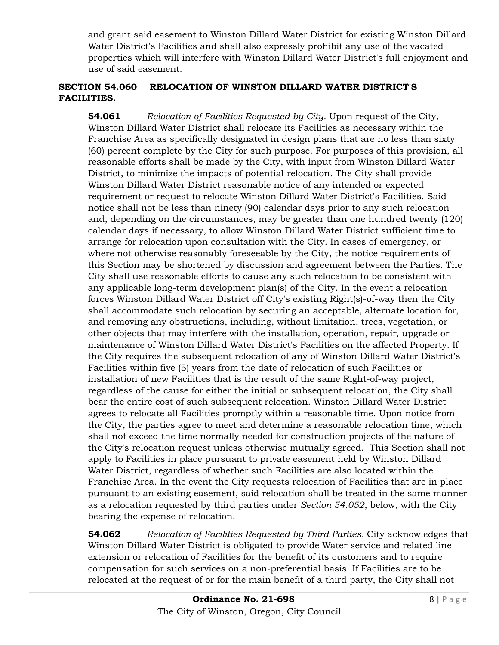and grant said easement to Winston Dillard Water District for existing Winston Dillard Water District's Facilities and shall also expressly prohibit any use of the vacated properties which will interfere with Winston Dillard Water District's full enjoyment and use of said easement.

### **SECTION 54.060 RELOCATION OF WINSTON DILLARD WATER DISTRICT'S FACILITIES.**

**54.061** *Relocation of Facilities Requested by City.* Upon request of the City, Winston Dillard Water District shall relocate its Facilities as necessary within the Franchise Area as specifically designated in design plans that are no less than sixty (60) percent complete by the City for such purpose. For purposes of this provision, all reasonable efforts shall be made by the City, with input from Winston Dillard Water District, to minimize the impacts of potential relocation. The City shall provide Winston Dillard Water District reasonable notice of any intended or expected requirement or request to relocate Winston Dillard Water District's Facilities. Said notice shall not be less than ninety (90) calendar days prior to any such relocation and, depending on the circumstances, may be greater than one hundred twenty (120) calendar days if necessary, to allow Winston Dillard Water District sufficient time to arrange for relocation upon consultation with the City. In cases of emergency, or where not otherwise reasonably foreseeable by the City, the notice requirements of this Section may be shortened by discussion and agreement between the Parties. The City shall use reasonable efforts to cause any such relocation to be consistent with any applicable long-term development plan(s) of the City. In the event a relocation forces Winston Dillard Water District off City's existing Right(s)-of-way then the City shall accommodate such relocation by securing an acceptable, alternate location for, and removing any obstructions, including, without limitation, trees, vegetation, or other objects that may interfere with the installation, operation, repair, upgrade or maintenance of Winston Dillard Water District's Facilities on the affected Property. If the City requires the subsequent relocation of any of Winston Dillard Water District's Facilities within five (5) years from the date of relocation of such Facilities or installation of new Facilities that is the result of the same Right-of-way project, regardless of the cause for either the initial or subsequent relocation, the City shall bear the entire cost of such subsequent relocation. Winston Dillard Water District agrees to relocate all Facilities promptly within a reasonable time. Upon notice from the City, the parties agree to meet and determine a reasonable relocation time, which shall not exceed the time normally needed for construction projects of the nature of the City's relocation request unless otherwise mutually agreed. This Section shall not apply to Facilities in place pursuant to private easement held by Winston Dillard Water District, regardless of whether such Facilities are also located within the Franchise Area. In the event the City requests relocation of Facilities that are in place pursuant to an existing easement, said relocation shall be treated in the same manner as a relocation requested by third parties under *Section 54.052*, below, with the City bearing the expense of relocation.

**54.062** *Relocation of Facilities Requested by Third Parties.* City acknowledges that Winston Dillard Water District is obligated to provide Water service and related line extension or relocation of Facilities for the benefit of its customers and to require compensation for such services on a non-preferential basis. If Facilities are to be relocated at the request of or for the main benefit of a third party, the City shall not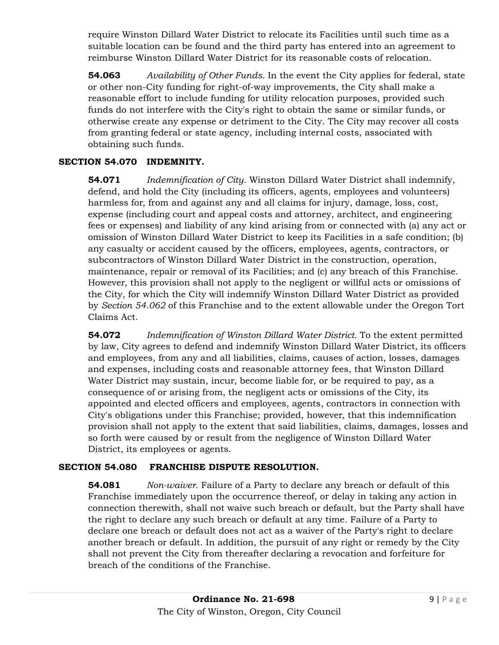require Winston Dillard Water District to relocate its Facilities until such time as a suitable location can be found and the third party has entered into an agreement to reimburse Winston Dillard Water District for its reasonable costs of relocation.

**54.063** *Availability of Other Funds.* In the event the City applies for federal, state or other non-City funding for right-of-way improvements, the City shall make a reasonable effort to include funding for utility relocation purposes, provided such funds do not interfere with the City's right to obtain the same or similar funds, or otherwise create any expense or detriment to the City. The City may recover all costs from granting federal or state agency, including internal costs, associated with obtaining such funds.

#### **SECTION 54.070 INDEMNITY.**

**54.071** *Indemnification of City*. Winston Dillard Water District shall indemnify, defend, and hold the City (including its officers, agents, employees and volunteers) harmless for, from and against any and all claims for injury, damage, loss, cost, expense (including court and appeal costs and attorney, architect, and engineering fees or expenses) and liability of any kind arising from or connected with (a) any act or omission of Winston Dillard Water District to keep its Facilities in a safe condition; (b) any casualty or accident caused by the officers, employees, agents, contractors, or subcontractors of Winston Dillard Water District in the construction, operation, maintenance, repair or removal of its Facilities; and (c) any breach of this Franchise. However, this provision shall not apply to the negligent or willful acts or omissions of the City, for which the City will indemnify Winston Dillard Water District as provided by *Section 54.062* of this Franchise and to the extent allowable under the Oregon Tort Claims Act.

**54.072** *Indemnification of Winston Dillard Water District.* To the extent permitted by law, City agrees to defend and indemnify Winston Dillard Water District, its officers and employees, from any and all liabilities, claims, causes of action, losses, damages and expenses, including costs and reasonable attorney fees, that Winston Dillard Water District may sustain, incur, become liable for, or be required to pay, as a consequence of or arising from, the negligent acts or omissions of the City, its appointed and elected officers and employees, agents, contractors in connection with City's obligations under this Franchise; provided, however, that this indemnification provision shall not apply to the extent that said liabilities, claims, damages, losses and so forth were caused by or result from the negligence of Winston Dillard Water District, its employees or agents.

#### **SECTION 54.080 FRANCHISE DISPUTE RESOLUTION.**

**54.081** *Non-waiver.* Failure of a Party to declare any breach or default of this Franchise immediately upon the occurrence thereof, or delay in taking any action in connection therewith, shall not waive such breach or default, but the Party shall have the right to declare any such breach or default at any time. Failure of a Party to declare one breach or default does not act as a waiver of the Party's right to declare another breach or default. In addition, the pursuit of any right or remedy by the City shall not prevent the City from thereafter declaring a revocation and forfeiture for breach of the conditions of the Franchise.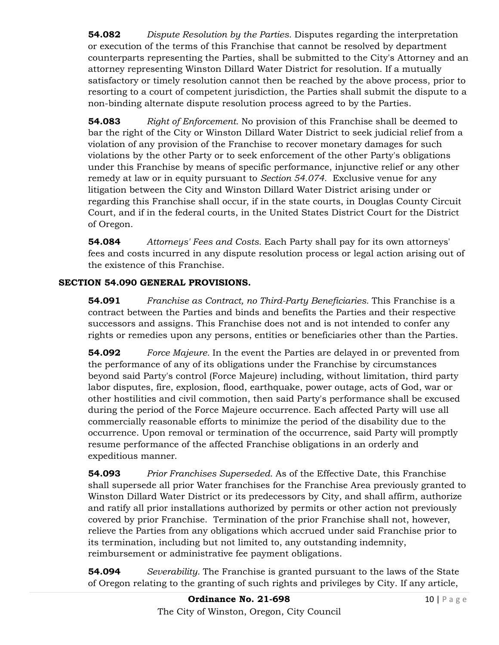**54.082** *Dispute Resolution by the Parties.* Disputes regarding the interpretation or execution of the terms of this Franchise that cannot be resolved by department counterparts representing the Parties, shall be submitted to the City's Attorney and an attorney representing Winston Dillard Water District for resolution. If a mutually satisfactory or timely resolution cannot then be reached by the above process, prior to resorting to a court of competent jurisdiction, the Parties shall submit the dispute to a non-binding alternate dispute resolution process agreed to by the Parties.

**54.083** *Right of Enforcement.* No provision of this Franchise shall be deemed to bar the right of the City or Winston Dillard Water District to seek judicial relief from a violation of any provision of the Franchise to recover monetary damages for such violations by the other Party or to seek enforcement of the other Party's obligations under this Franchise by means of specific performance, injunctive relief or any other remedy at law or in equity pursuant to *Section 54.074.* Exclusive venue for any litigation between the City and Winston Dillard Water District arising under or regarding this Franchise shall occur, if in the state courts, in Douglas County Circuit Court, and if in the federal courts, in the United States District Court for the District of Oregon.

**54.084** *Attorneys' Fees and Costs.* Each Party shall pay for its own attorneys' fees and costs incurred in any dispute resolution process or legal action arising out of the existence of this Franchise.

# **SECTION 54.090 GENERAL PROVISIONS.**

**54.091** *Franchise as Contract, no Third-Party Beneficiaries.* This Franchise is a contract between the Parties and binds and benefits the Parties and their respective successors and assigns. This Franchise does not and is not intended to confer any rights or remedies upon any persons, entities or beneficiaries other than the Parties.

**54.092** *Force Majeure.* In the event the Parties are delayed in or prevented from the performance of any of its obligations under the Franchise by circumstances beyond said Party's control (Force Majeure) including, without limitation, third party labor disputes, fire, explosion, flood, earthquake, power outage, acts of God, war or other hostilities and civil commotion, then said Party's performance shall be excused during the period of the Force Majeure occurrence. Each affected Party will use all commercially reasonable efforts to minimize the period of the disability due to the occurrence. Upon removal or termination of the occurrence, said Party will promptly resume performance of the affected Franchise obligations in an orderly and expeditious manner.

**54.093** *Prior Franchises Superseded.* As of the Effective Date, this Franchise shall supersede all prior Water franchises for the Franchise Area previously granted to Winston Dillard Water District or its predecessors by City, and shall affirm, authorize and ratify all prior installations authorized by permits or other action not previously covered by prior Franchise. Termination of the prior Franchise shall not, however, relieve the Parties from any obligations which accrued under said Franchise prior to its termination, including but not limited to, any outstanding indemnity, reimbursement or administrative fee payment obligations.

**54.094** *Severability.* The Franchise is granted pursuant to the laws of the State of Oregon relating to the granting of such rights and privileges by City. If any article,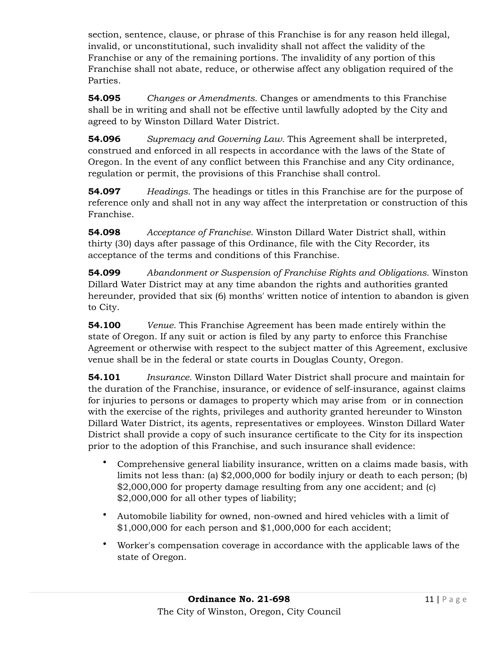section, sentence, clause, or phrase of this Franchise is for any reason held illegal, invalid, or unconstitutional, such invalidity shall not affect the validity of the Franchise or any of the remaining portions. The invalidity of any portion of this Franchise shall not abate, reduce, or otherwise affect any obligation required of the Parties.

**54.095** *Changes or Amendments.* Changes or amendments to this Franchise shall be in writing and shall not be effective until lawfully adopted by the City and agreed to by Winston Dillard Water District.

**54.096** *Supremacy and Governing Law.* This Agreement shall be interpreted, construed and enforced in all respects in accordance with the laws of the State of Oregon. In the event of any conflict between this Franchise and any City ordinance, regulation or permit, the provisions of this Franchise shall control.

**54.097** *Headings.* The headings or titles in this Franchise are for the purpose of reference only and shall not in any way affect the interpretation or construction of this Franchise.

**54.098** *Acceptance of Franchise.* Winston Dillard Water District shall, within thirty (30) days after passage of this Ordinance, file with the City Recorder, its acceptance of the terms and conditions of this Franchise.

**54.099** *Abandonment or Suspension of Franchise Rights and Obligations.* Winston Dillard Water District may at any time abandon the rights and authorities granted hereunder, provided that six (6) months' written notice of intention to abandon is given to City.

**54.100** *Venue.* This Franchise Agreement has been made entirely within the state of Oregon. If any suit or action is filed by any party to enforce this Franchise Agreement or otherwise with respect to the subject matter of this Agreement, exclusive venue shall be in the federal or state courts in Douglas County, Oregon.

**54.101** *Insurance.* Winston Dillard Water District shall procure and maintain for the duration of the Franchise, insurance, or evidence of self-insurance, against claims for injuries to persons or damages to property which may arise from or in connection with the exercise of the rights, privileges and authority granted hereunder to Winston Dillard Water District, its agents, representatives or employees. Winston Dillard Water District shall provide a copy of such insurance certificate to the City for its inspection prior to the adoption of this Franchise, and such insurance shall evidence:

- Comprehensive general liability insurance, written on a claims made basis, with limits not less than: (a) \$2,000,000 for bodily injury or death to each person; (b) \$2,000,000 for property damage resulting from any one accident; and (c) \$2,000,000 for all other types of liability;
- Automobile liability for owned, non-owned and hired vehicles with a limit of \$1,000,000 for each person and \$1,000,000 for each accident;
- Worker's compensation coverage in accordance with the applicable laws of the state of Oregon.